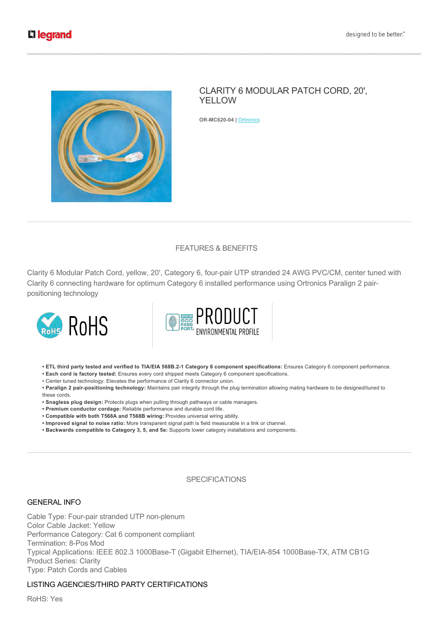

# CLARITY 6 MODULAR PATCH CORD, 20', YELLOW

**OR-MC620-04 | Ortronics** 

# FEATURES & BENEFITS

Clarity 6 Modular Patch Cord, yellow, 20', Category 6, four-pair UTP stranded 24 AWG PVC/CM, center tuned with Clarity 6 connecting hardware for optimum Category 6 installed performance using Ortronics Paralign 2 pairpositioning technology





**• ETL third party tested and verified to TIA/EIA 568B.21 Category 6 component specifications:** Ensures Category 6 component performance.

**• Each cord is factory tested:** Ensures every cord shipped meets Category 6 component specifications.

• Center tuned technology: Elevates the performance of Clarity 6 connector union.

• Paralign 2 pair-positioning technology: Maintains pair integrity through the plug termination allowing mating hardware to be designed/tuned to these cords.

**• Snagless plug design:** Protects plugs when pulling through pathways or cable managers.

- **Premium conductor cordage:** Reliable performance and durable cord life.
- **Compatible with both T568A and T568B wiring:** Provides universal wiring ability.
- **Improved signal to noise ratio:** More transparent signal path is field measurable in a link or channel.
- **Backwards compatible to Category 3, 5, and 5e:** Supports lower category installations and components.

## **SPECIFICATIONS**

#### GENERAL INFO

Cable Type: Four-pair stranded UTP non-plenum Color Cable Jacket: Yellow Performance Category: Cat 6 component compliant Termination: 8-Pos Mod Typical Applications: IEEE 802.3 1000Base-T (Gigabit Ethernet), TIA/EIA-854 1000Base-TX, ATM CB1G Product Series: Clarity Type: Patch Cords and Cables

#### LISTING AGENCIES/THIRD PARTY CERTIFICATIONS

RoHS: Yes